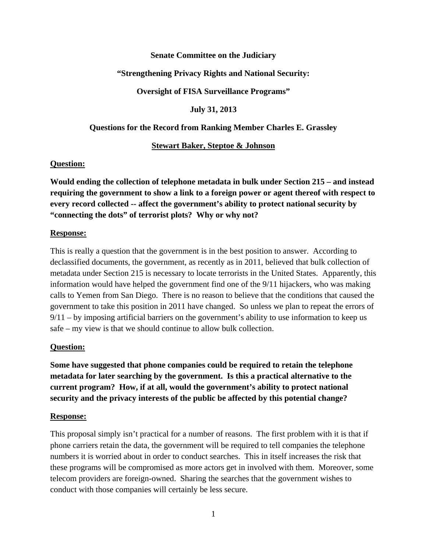#### **Senate Committee on the Judiciary**

#### **"Strengthening Privacy Rights and National Security:**

**Oversight of FISA Surveillance Programs"** 

**July 31, 2013** 

**Questions for the Record from Ranking Member Charles E. Grassley** 

#### **Stewart Baker, Steptoe & Johnson**

#### **Question:**

**Would ending the collection of telephone metadata in bulk under Section 215 – and instead requiring the government to show a link to a foreign power or agent thereof with respect to every record collected -- affect the government's ability to protect national security by "connecting the dots" of terrorist plots? Why or why not?** 

#### **Response:**

This is really a question that the government is in the best position to answer. According to declassified documents, the government, as recently as in 2011, believed that bulk collection of metadata under Section 215 is necessary to locate terrorists in the United States. Apparently, this information would have helped the government find one of the 9/11 hijackers, who was making calls to Yemen from San Diego. There is no reason to believe that the conditions that caused the government to take this position in 2011 have changed. So unless we plan to repeat the errors of 9/11 – by imposing artificial barriers on the government's ability to use information to keep us safe – my view is that we should continue to allow bulk collection.

#### **Question:**

**Some have suggested that phone companies could be required to retain the telephone metadata for later searching by the government. Is this a practical alternative to the current program? How, if at all, would the government's ability to protect national security and the privacy interests of the public be affected by this potential change?** 

#### **Response:**

This proposal simply isn't practical for a number of reasons. The first problem with it is that if phone carriers retain the data, the government will be required to tell companies the telephone numbers it is worried about in order to conduct searches. This in itself increases the risk that these programs will be compromised as more actors get in involved with them. Moreover, some telecom providers are foreign-owned. Sharing the searches that the government wishes to conduct with those companies will certainly be less secure.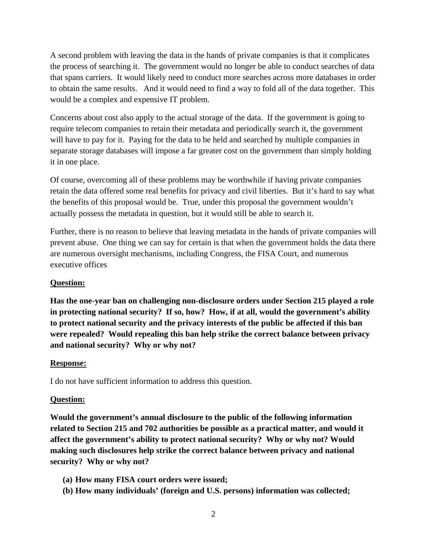A second problem with leaving the data in the hands of private companies is that it complicates the process of searching it. The government would no longer be able to conduct searches of data that spans carriers. It would likely need to conduct more searches across more databases in order to obtain the same results. And it would need to find a way to fold all of the data together. This would be a complex and expensive IT problem.

Concerns about cost also apply to the actual storage of the data. If the government is going to require telecom companies to retain their metadata and periodically search it, the government will have to pay for it. Paying for the data to be held and searched by multiple companies in separate storage databases will impose a far greater cost on the government than simply holding it in one place.

Of course, overcoming all of these problems may be worthwhile if having private companies retain the data offered some real benefits for privacy and civil liberties. But it's hard to say what the benefits of this proposal would be. True, under this proposal the government wouldn't actually possess the metadata in question, but it would still be able to search it.

Further, there is no reason to believe that leaving metadata in the hands of private companies will prevent abuse. One thing we can say for certain is that when the government holds the data there are numerous oversight mechanisms, including Congress, the FISA Court, and numerous executive offices

# **Question:**

**Has the one-year ban on challenging non-disclosure orders under Section 215 played a role in protecting national security? If so, how? How, if at all, would the government's ability to protect national security and the privacy interests of the public be affected if this ban were repealed? Would repealing this ban help strike the correct balance between privacy and national security? Why or why not?** 

### **Response:**

I do not have sufficient information to address this question.

### **Question:**

**Would the government's annual disclosure to the public of the following information related to Section 215 and 702 authorities be possible as a practical matter, and would it affect the government's ability to protect national security? Why or why not? Would making such disclosures help strike the correct balance between privacy and national security? Why or why not?** 

- **(a) How many FISA court orders were issued;**
- **(b) How many individuals' (foreign and U.S. persons) information was collected;**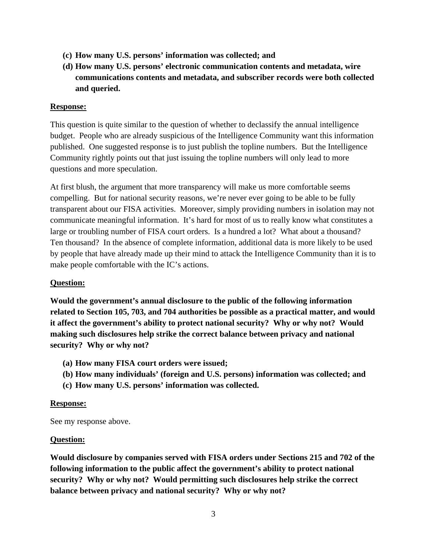- **(c) How many U.S. persons' information was collected; and**
- **(d) How many U.S. persons' electronic communication contents and metadata, wire communications contents and metadata, and subscriber records were both collected and queried.**

#### **Response:**

This question is quite similar to the question of whether to declassify the annual intelligence budget. People who are already suspicious of the Intelligence Community want this information published. One suggested response is to just publish the topline numbers. But the Intelligence Community rightly points out that just issuing the topline numbers will only lead to more questions and more speculation.

At first blush, the argument that more transparency will make us more comfortable seems compelling. But for national security reasons, we're never ever going to be able to be fully transparent about our FISA activities. Moreover, simply providing numbers in isolation may not communicate meaningful information. It's hard for most of us to really know what constitutes a large or troubling number of FISA court orders. Is a hundred a lot? What about a thousand? Ten thousand? In the absence of complete information, additional data is more likely to be used by people that have already made up their mind to attack the Intelligence Community than it is to make people comfortable with the IC's actions.

#### **Question:**

**Would the government's annual disclosure to the public of the following information related to Section 105, 703, and 704 authorities be possible as a practical matter, and would it affect the government's ability to protect national security? Why or why not? Would making such disclosures help strike the correct balance between privacy and national security? Why or why not?** 

- **(a) How many FISA court orders were issued;**
- **(b) How many individuals' (foreign and U.S. persons) information was collected; and**
- **(c) How many U.S. persons' information was collected.**

#### **Response:**

See my response above.

#### **Question:**

**Would disclosure by companies served with FISA orders under Sections 215 and 702 of the following information to the public affect the government's ability to protect national security? Why or why not? Would permitting such disclosures help strike the correct balance between privacy and national security? Why or why not?**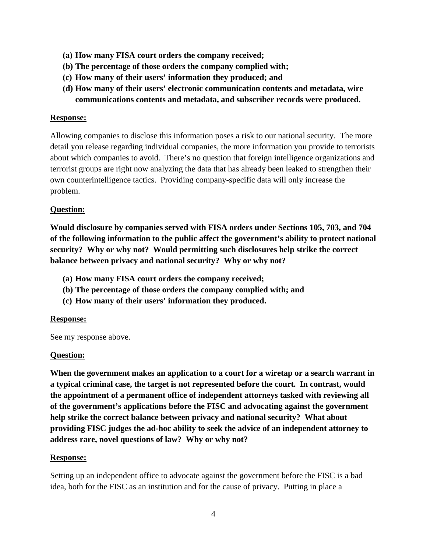- **(a) How many FISA court orders the company received;**
- **(b) The percentage of those orders the company complied with;**
- **(c) How many of their users' information they produced; and**
- **(d) How many of their users' electronic communication contents and metadata, wire communications contents and metadata, and subscriber records were produced.**

### **Response:**

Allowing companies to disclose this information poses a risk to our national security. The more detail you release regarding individual companies, the more information you provide to terrorists about which companies to avoid. There's no question that foreign intelligence organizations and terrorist groups are right now analyzing the data that has already been leaked to strengthen their own counterintelligence tactics. Providing company-specific data will only increase the problem.

### **Question:**

**Would disclosure by companies served with FISA orders under Sections 105, 703, and 704 of the following information to the public affect the government's ability to protect national security? Why or why not? Would permitting such disclosures help strike the correct balance between privacy and national security? Why or why not?** 

- **(a) How many FISA court orders the company received;**
- **(b) The percentage of those orders the company complied with; and**
- **(c) How many of their users' information they produced.**

### **Response:**

See my response above.

### **Question:**

**When the government makes an application to a court for a wiretap or a search warrant in a typical criminal case, the target is not represented before the court. In contrast, would the appointment of a permanent office of independent attorneys tasked with reviewing all of the government's applications before the FISC and advocating against the government help strike the correct balance between privacy and national security? What about providing FISC judges the ad-hoc ability to seek the advice of an independent attorney to address rare, novel questions of law? Why or why not?** 

### **Response:**

Setting up an independent office to advocate against the government before the FISC is a bad idea, both for the FISC as an institution and for the cause of privacy. Putting in place a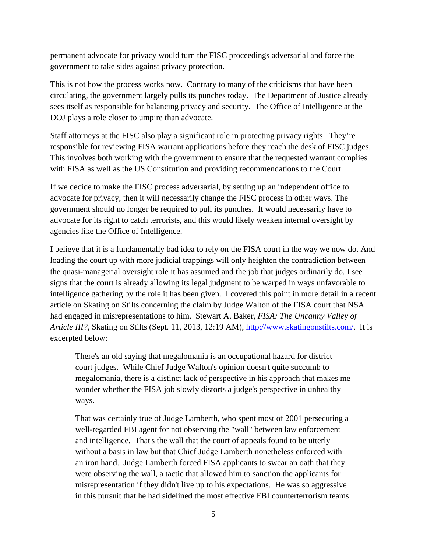permanent advocate for privacy would turn the FISC proceedings adversarial and force the government to take sides against privacy protection.

This is not how the process works now. Contrary to many of the criticisms that have been circulating, the government largely pulls its punches today. The Department of Justice already sees itself as responsible for balancing privacy and security. The Office of Intelligence at the DOJ plays a role closer to umpire than advocate.

Staff attorneys at the FISC also play a significant role in protecting privacy rights. They're responsible for reviewing FISA warrant applications before they reach the desk of FISC judges. This involves both working with the government to ensure that the requested warrant complies with FISA as well as the US Constitution and providing recommendations to the Court.

If we decide to make the FISC process adversarial, by setting up an independent office to advocate for privacy, then it will necessarily change the FISC process in other ways. The government should no longer be required to pull its punches. It would necessarily have to advocate for its right to catch terrorists, and this would likely weaken internal oversight by agencies like the Office of Intelligence.

I believe that it is a fundamentally bad idea to rely on the FISA court in the way we now do. And loading the court up with more judicial trappings will only heighten the contradiction between the quasi-managerial oversight role it has assumed and the job that judges ordinarily do. I see signs that the court is already allowing its legal judgment to be warped in ways unfavorable to intelligence gathering by the role it has been given. I covered this point in more detail in a recent article on Skating on Stilts concerning the claim by Judge Walton of the FISA court that NSA had engaged in misrepresentations to him. Stewart A. Baker, *FISA: The Uncanny Valley of Article III?*, Skating on Stilts (Sept. 11, 2013, 12:19 AM), http://www.skatingonstilts.com/. It is excerpted below:

There's an old saying that megalomania is an occupational hazard for district court judges. While Chief Judge Walton's opinion doesn't quite succumb to megalomania, there is a distinct lack of perspective in his approach that makes me wonder whether the FISA job slowly distorts a judge's perspective in unhealthy ways.

That was certainly true of Judge Lamberth, who spent most of 2001 persecuting a well-regarded FBI agent for not observing the "wall" between law enforcement and intelligence. That's the wall that the court of appeals found to be utterly without a basis in law but that Chief Judge Lamberth nonetheless enforced with an iron hand. Judge Lamberth forced FISA applicants to swear an oath that they were observing the wall, a tactic that allowed him to sanction the applicants for misrepresentation if they didn't live up to his expectations. He was so aggressive in this pursuit that he had sidelined the most effective FBI counterterrorism teams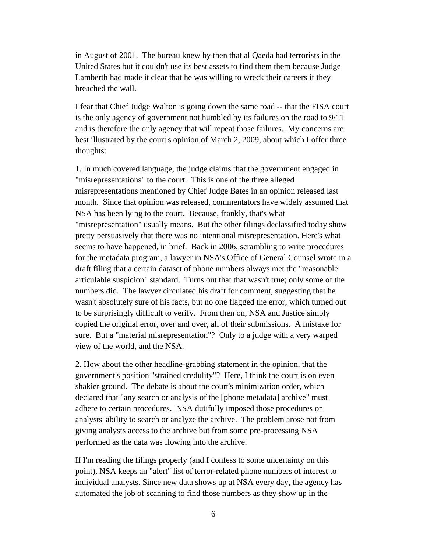in August of 2001. The bureau knew by then that al Qaeda had terrorists in the United States but it couldn't use its best assets to find them them because Judge Lamberth had made it clear that he was willing to wreck their careers if they breached the wall.

I fear that Chief Judge Walton is going down the same road -- that the FISA court is the only agency of government not humbled by its failures on the road to 9/11 and is therefore the only agency that will repeat those failures. My concerns are best illustrated by the court's opinion of March 2, 2009, about which I offer three thoughts:

1. In much covered language, the judge claims that the government engaged in "misrepresentations" to the court. This is one of the three alleged misrepresentations mentioned by Chief Judge Bates in an opinion released last month. Since that opinion was released, commentators have widely assumed that NSA has been lying to the court. Because, frankly, that's what "misrepresentation" usually means. But the other filings declassified today show pretty persuasively that there was no intentional misrepresentation. Here's what seems to have happened, in brief. Back in 2006, scrambling to write procedures for the metadata program, a lawyer in NSA's Office of General Counsel wrote in a draft filing that a certain dataset of phone numbers always met the "reasonable articulable suspicion" standard. Turns out that that wasn't true; only some of the numbers did. The lawyer circulated his draft for comment, suggesting that he wasn't absolutely sure of his facts, but no one flagged the error, which turned out to be surprisingly difficult to verify. From then on, NSA and Justice simply copied the original error, over and over, all of their submissions. A mistake for sure. But a "material misrepresentation"? Only to a judge with a very warped view of the world, and the NSA.

2. How about the other headline-grabbing statement in the opinion, that the government's position "strained credulity"? Here, I think the court is on even shakier ground. The debate is about the court's minimization order, which declared that "any search or analysis of the [phone metadata] archive" must adhere to certain procedures. NSA dutifully imposed those procedures on analysts' ability to search or analyze the archive. The problem arose not from giving analysts access to the archive but from some pre-processing NSA performed as the data was flowing into the archive.

If I'm reading the filings properly (and I confess to some uncertainty on this point), NSA keeps an "alert" list of terror-related phone numbers of interest to individual analysts. Since new data shows up at NSA every day, the agency has automated the job of scanning to find those numbers as they show up in the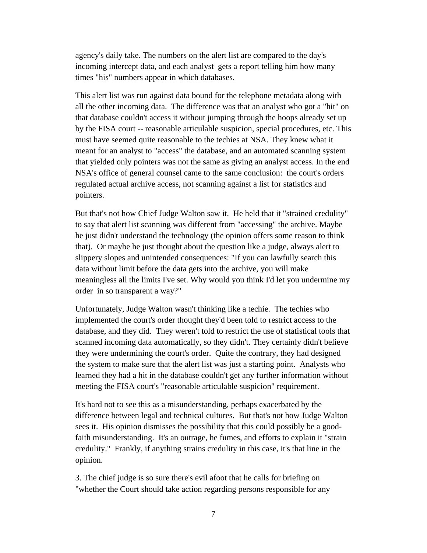agency's daily take. The numbers on the alert list are compared to the day's incoming intercept data, and each analyst gets a report telling him how many times "his" numbers appear in which databases.

This alert list was run against data bound for the telephone metadata along with all the other incoming data. The difference was that an analyst who got a "hit" on that database couldn't access it without jumping through the hoops already set up by the FISA court -- reasonable articulable suspicion, special procedures, etc. This must have seemed quite reasonable to the techies at NSA. They knew what it meant for an analyst to "access" the database, and an automated scanning system that yielded only pointers was not the same as giving an analyst access. In the end NSA's office of general counsel came to the same conclusion: the court's orders regulated actual archive access, not scanning against a list for statistics and pointers.

But that's not how Chief Judge Walton saw it. He held that it "strained credulity" to say that alert list scanning was different from "accessing" the archive. Maybe he just didn't understand the technology (the opinion offers some reason to think that). Or maybe he just thought about the question like a judge, always alert to slippery slopes and unintended consequences: "If you can lawfully search this data without limit before the data gets into the archive, you will make meaningless all the limits I've set. Why would you think I'd let you undermine my order in so transparent a way?"

Unfortunately, Judge Walton wasn't thinking like a techie. The techies who implemented the court's order thought they'd been told to restrict access to the database, and they did. They weren't told to restrict the use of statistical tools that scanned incoming data automatically, so they didn't. They certainly didn't believe they were undermining the court's order. Quite the contrary, they had designed the system to make sure that the alert list was just a starting point. Analysts who learned they had a hit in the database couldn't get any further information without meeting the FISA court's "reasonable articulable suspicion" requirement.

It's hard not to see this as a misunderstanding, perhaps exacerbated by the difference between legal and technical cultures. But that's not how Judge Walton sees it. His opinion dismisses the possibility that this could possibly be a goodfaith misunderstanding. It's an outrage, he fumes, and efforts to explain it "strain credulity." Frankly, if anything strains credulity in this case, it's that line in the opinion.

3. The chief judge is so sure there's evil afoot that he calls for briefing on "whether the Court should take action regarding persons responsible for any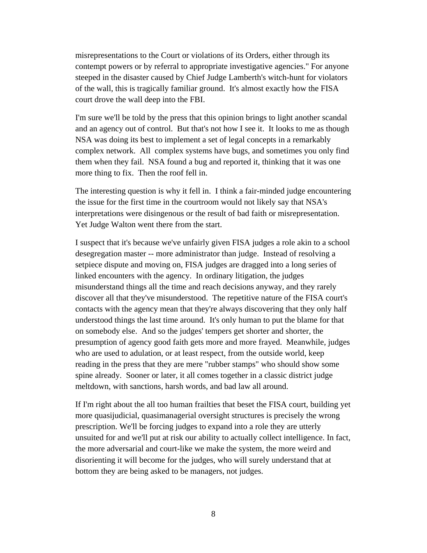misrepresentations to the Court or violations of its Orders, either through its contempt powers or by referral to appropriate investigative agencies." For anyone steeped in the disaster caused by Chief Judge Lamberth's witch-hunt for violators of the wall, this is tragically familiar ground. It's almost exactly how the FISA court drove the wall deep into the FBI.

I'm sure we'll be told by the press that this opinion brings to light another scandal and an agency out of control. But that's not how I see it. It looks to me as though NSA was doing its best to implement a set of legal concepts in a remarkably complex network. All complex systems have bugs, and sometimes you only find them when they fail. NSA found a bug and reported it, thinking that it was one more thing to fix. Then the roof fell in.

The interesting question is why it fell in. I think a fair-minded judge encountering the issue for the first time in the courtroom would not likely say that NSA's interpretations were disingenous or the result of bad faith or misrepresentation. Yet Judge Walton went there from the start.

I suspect that it's because we've unfairly given FISA judges a role akin to a school desegregation master -- more administrator than judge. Instead of resolving a setpiece dispute and moving on, FISA judges are dragged into a long series of linked encounters with the agency. In ordinary litigation, the judges misunderstand things all the time and reach decisions anyway, and they rarely discover all that they've misunderstood. The repetitive nature of the FISA court's contacts with the agency mean that they're always discovering that they only half understood things the last time around. It's only human to put the blame for that on somebody else. And so the judges' tempers get shorter and shorter, the presumption of agency good faith gets more and more frayed. Meanwhile, judges who are used to adulation, or at least respect, from the outside world, keep reading in the press that they are mere "rubber stamps" who should show some spine already. Sooner or later, it all comes together in a classic district judge meltdown, with sanctions, harsh words, and bad law all around.

If I'm right about the all too human frailties that beset the FISA court, building yet more quasijudicial, quasimanagerial oversight structures is precisely the wrong prescription. We'll be forcing judges to expand into a role they are utterly unsuited for and we'll put at risk our ability to actually collect intelligence. In fact, the more adversarial and court-like we make the system, the more weird and disorienting it will become for the judges, who will surely understand that at bottom they are being asked to be managers, not judges.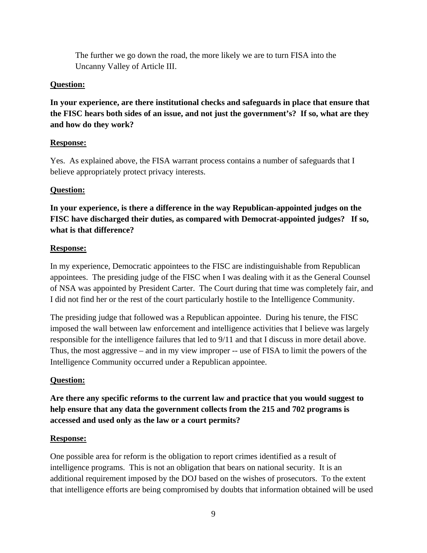The further we go down the road, the more likely we are to turn FISA into the Uncanny Valley of Article III.

### **Question:**

**In your experience, are there institutional checks and safeguards in place that ensure that the FISC hears both sides of an issue, and not just the government's? If so, what are they and how do they work?** 

## **Response:**

Yes. As explained above, the FISA warrant process contains a number of safeguards that I believe appropriately protect privacy interests.

# **Question:**

**In your experience, is there a difference in the way Republican-appointed judges on the FISC have discharged their duties, as compared with Democrat-appointed judges? If so, what is that difference?** 

## **Response:**

In my experience, Democratic appointees to the FISC are indistinguishable from Republican appointees. The presiding judge of the FISC when I was dealing with it as the General Counsel of NSA was appointed by President Carter. The Court during that time was completely fair, and I did not find her or the rest of the court particularly hostile to the Intelligence Community.

The presiding judge that followed was a Republican appointee. During his tenure, the FISC imposed the wall between law enforcement and intelligence activities that I believe was largely responsible for the intelligence failures that led to 9/11 and that I discuss in more detail above. Thus, the most aggressive – and in my view improper -- use of FISA to limit the powers of the Intelligence Community occurred under a Republican appointee.

# **Question:**

**Are there any specific reforms to the current law and practice that you would suggest to help ensure that any data the government collects from the 215 and 702 programs is accessed and used only as the law or a court permits?** 

### **Response:**

One possible area for reform is the obligation to report crimes identified as a result of intelligence programs. This is not an obligation that bears on national security. It is an additional requirement imposed by the DOJ based on the wishes of prosecutors. To the extent that intelligence efforts are being compromised by doubts that information obtained will be used